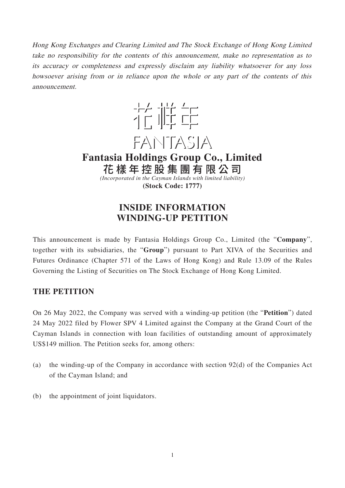Hong Kong Exchanges and Clearing Limited and The Stock Exchange of Hong Kong Limited take no responsibility for the contents of this announcement, make no representation as to its accuracy or completeness and expressly disclaim any liability whatsoever for any loss howsoever arising from or in reliance upon the whole or any part of the contents of this announcement.



**Fantasia Holdings Group Co., Limited** 花樣年控股集團有限公 司

*(Incorporated in the Cayman Islands with limited liability)* **(Stock Code: 1777)**

# **INSIDE INFORMATION WINDING-UP PETITION**

This announcement is made by Fantasia Holdings Group Co., Limited (the "**Company**", together with its subsidiaries, the "**Group**") pursuant to Part XIVA of the Securities and Futures Ordinance (Chapter 571 of the Laws of Hong Kong) and Rule 13.09 of the Rules Governing the Listing of Securities on The Stock Exchange of Hong Kong Limited.

## **THE PETITION**

On 26 May 2022, the Company was served with a winding-up petition (the "**Petition**") dated 24 May 2022 filed by Flower SPV 4 Limited against the Company at the Grand Court of the Cayman Islands in connection with loan facilities of outstanding amount of approximately US\$149 million. The Petition seeks for, among others:

- (a) the winding-up of the Company in accordance with section 92(d) of the Companies Act of the Cayman Island; and
- (b) the appointment of joint liquidators.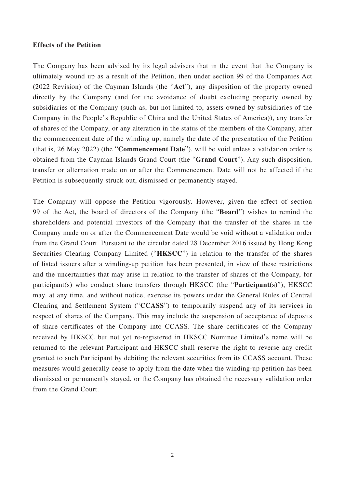#### **Effects of the Petition**

The Company has been advised by its legal advisers that in the event that the Company is ultimately wound up as a result of the Petition, then under section 99 of the Companies Act (2022 Revision) of the Cayman Islands (the "**Act**"), any disposition of the property owned directly by the Company (and for the avoidance of doubt excluding property owned by subsidiaries of the Company (such as, but not limited to, assets owned by subsidiaries of the Company in the People's Republic of China and the United States of America)), any transfer of shares of the Company, or any alteration in the status of the members of the Company, after the commencement date of the winding up, namely the date of the presentation of the Petition (that is, 26 May 2022) (the "**Commencement Date**"), will be void unless a validation order is obtained from the Cayman Islands Grand Court (the "**Grand Court**"). Any such disposition, transfer or alternation made on or after the Commencement Date will not be affected if the Petition is subsequently struck out, dismissed or permanently stayed.

The Company will oppose the Petition vigorously. However, given the effect of section 99 of the Act, the board of directors of the Company (the "**Board**") wishes to remind the shareholders and potential investors of the Company that the transfer of the shares in the Company made on or after the Commencement Date would be void without a validation order from the Grand Court. Pursuant to the circular dated 28 December 2016 issued by Hong Kong Securities Clearing Company Limited ("**HKSCC**") in relation to the transfer of the shares of listed issuers after a winding-up petition has been presented, in view of these restrictions and the uncertainties that may arise in relation to the transfer of shares of the Company, for participant(s) who conduct share transfers through HKSCC (the "**Participant(s)**"), HKSCC may, at any time, and without notice, exercise its powers under the General Rules of Central Clearing and Settlement System ("**CCASS**") to temporarily suspend any of its services in respect of shares of the Company. This may include the suspension of acceptance of deposits of share certificates of the Company into CCASS. The share certificates of the Company received by HKSCC but not yet re-registered in HKSCC Nominee Limited's name will be returned to the relevant Participant and HKSCC shall reserve the right to reverse any credit granted to such Participant by debiting the relevant securities from its CCASS account. These measures would generally cease to apply from the date when the winding-up petition has been dismissed or permanently stayed, or the Company has obtained the necessary validation order from the Grand Court.